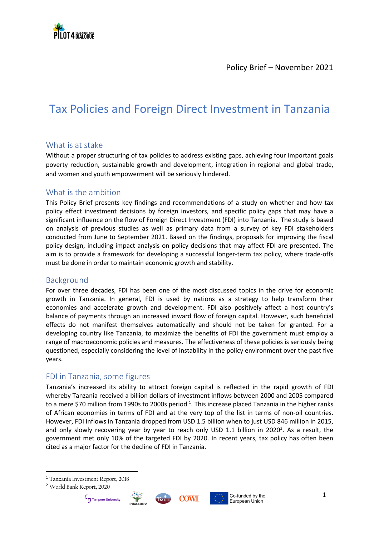

Policy Brief – November 2021

# Tax Policies and Foreign Direct Investment in Tanzania

## What is at stake

Without a proper structuring of tax policies to address existing gaps, achieving four important goals poverty reduction, sustainable growth and development, integration in regional and global trade, and women and youth empowerment will be seriously hindered.

### What is the ambition

This Policy Brief presents key findings and recommendations of a study on whether and how tax policy effect investment decisions by foreign investors, and specific policy gaps that may have a significant influence on the flow of Foreign Direct Investment (FDI) into Tanzania. The study is based on analysis of previous studies as well as primary data from a survey of key FDI stakeholders conducted from June to September 2021. Based on the findings, proposals for improving the fiscal policy design, including impact analysis on policy decisions that may affect FDI are presented. The aim is to provide a framework for developing a successful longer-term tax policy, where trade-offs must be done in order to maintain economic growth and stability.

#### Background

For over three decades, FDI has been one of the most discussed topics in the drive for economic growth in Tanzania. In general, FDI is used by nations as a strategy to help transform their economies and accelerate growth and development. FDI also positively affect a host country's balance of payments through an increased inward flow of foreign capital. However, such beneficial effects do not manifest themselves automatically and should not be taken for granted. For a developing country like Tanzania, to maximize the benefits of FDI the government must employ a range of macroeconomic policies and measures. The effectiveness of these policies is seriously being questioned, especially considering the level of instability in the policy environment over the past five years.

## FDI in Tanzania, some figures

Tanzania's increased its ability to attract foreign capital is reflected in the rapid growth of FDI whereby Tanzania received a billion dollars of investment inflows between 2000 and 2005 compared to a mere \$70 million from 1990s to 2000s period <sup>1</sup>. This increase placed Tanzania in the higher ranks of African economies in terms of FDI and at the very top of the list in terms of non-oil countries. However, FDI inflows in Tanzania dropped from USD 1.5 billion when to just USD 846 million in 2015, and only slowly recovering year by year to reach only USD 1.1 billion in 2020<sup>2</sup>. As a result, the government met only 10% of the targeted FDI by 2020. In recent years, tax policy has often been cited as a major factor for the decline of FDI in Tanzania.

<sup>2</sup> World Bank Report, 2020

**C<sub>FJ</sub>** Tampere University





<sup>1</sup> Tanzania Investment Report, 2018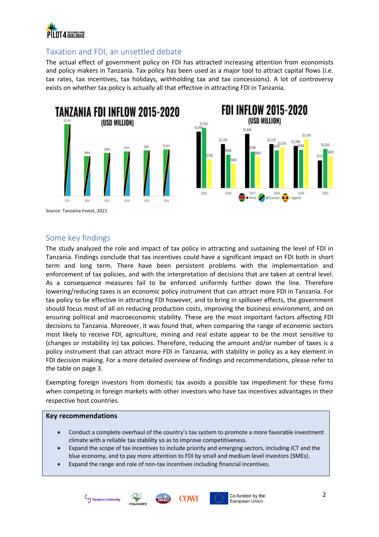

## Taxation and FDI, an unsettled debate

The actual effect of government policy on FDI has attracted increasing attention from economists and policy makers in Tanzania. Tax policy has been used as a major tool to attract capital flows (i.e. tax rates, tax incentives, tax holidays, withholding tax and tax concessions). A lot of controversy exists on whether tax policy is actually all that effective in attracting FDI in Tanzania.





## Some key findings

The study analyzed the role and impact of tax policy in attracting and sustaining the level of FDI in Tanzania. Findings conclude that tax incentives could have a significant impact on FDI both in short term and long term. There have been persistent problems with the implementation and enforcement of tax policies, and with the interpretation of decisions that are taken at central level. As a consequence measures fail to be enforced uniformly further down the line. Therefore lowering/reducing taxes is an economic policy instrument that can attract more FDI in Tanzania. For tax policy to be effective in attracting FDI however, and to bring in spillover effects, the government should focus most of all on reducing production costs, improving the business environment, and on ensuring political and macroeconomic stability. These are the most important factors affecting FDI decisions to Tanzania. Moreover, it was found that, when comparing the range of economic sectors most likely to receive FDI, agriculture, mining and real estate appear to be the most sensitive to (changes or instability in) tax policies. Therefore, reducing the amount and/or number of taxes is a policy instrument that can attract more FDI in Tanzania, with stability in policy as a key element in FDI decision making. For a more detailed overview of findings and recommendations, please refer to the table on page 3.

Exempting foreign investors from domestic tax avoids a possible tax impediment for these firms when competing in foreign markets with other investors who have tax incentives advantages in their respective host countries.

#### **Key recommendations**

- Conduct a complete overhaul of the country's tax system to promote a more favorable investment climate with a reliable tax stability so as to improve competitiveness.
- Expand the scope of tax incentives to include priority and emerging sectors, including ICT and the blue economy, and to pay more attention to FDI by small and medium level investors (SMEs).
- Expand the range and role of non-tax incentives including financial incentives.





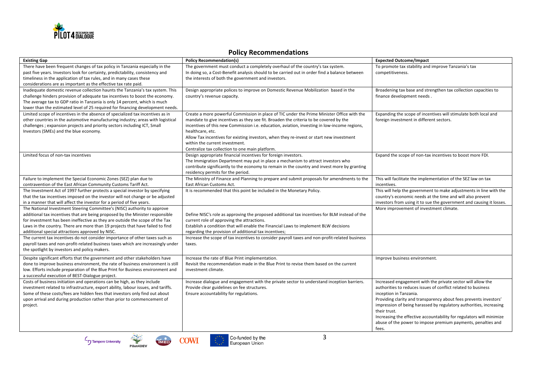

#### **Policy Recommendations**

| <b>Existing Gap</b>                                                                                                                                                                                                                                                                                                                                                            | <b>Policy Recommendation(s)</b>                                                                                                                                                                                                                                                                                                                                                                                                                                                          | <b>Expected Outcome/Impact</b>                                                                                                                                                                                                                                                                                                                                                                                                                                     |
|--------------------------------------------------------------------------------------------------------------------------------------------------------------------------------------------------------------------------------------------------------------------------------------------------------------------------------------------------------------------------------|------------------------------------------------------------------------------------------------------------------------------------------------------------------------------------------------------------------------------------------------------------------------------------------------------------------------------------------------------------------------------------------------------------------------------------------------------------------------------------------|--------------------------------------------------------------------------------------------------------------------------------------------------------------------------------------------------------------------------------------------------------------------------------------------------------------------------------------------------------------------------------------------------------------------------------------------------------------------|
| There have been frequent changes of tax policy in Tanzania especially in the<br>past five years. Investors look for certainty, predictability, consistency and<br>timeliness in the application of tax rules, and in many cases these<br>considerations are as important as the effective tax rate paid.                                                                       | The government must conduct a completely overhaul of the country's tax system.<br>In doing so, a Cost-Benefit analysis should to be carried out in order find a balance between<br>the interests of both the government and investors.                                                                                                                                                                                                                                                   | To promote tax stability and improve Tanzania's tax<br>competitiveness.                                                                                                                                                                                                                                                                                                                                                                                            |
| Inadequate domestic revenue collection haunts the Tanzania's tax system. This<br>challenge hinders provision of adequate tax incentives to boost the economy.<br>The average tax to GDP ratio in Tanzania is only 14 percent, which is much<br>lower than the estimated level of 25 required for financing development needs.                                                  | Design appropriate polices to improve on Domestic Revenue Mobilization based in the<br>country's revenue capacity.                                                                                                                                                                                                                                                                                                                                                                       | Broadening tax base and strengthen tax collection capacities to<br>finance development needs.                                                                                                                                                                                                                                                                                                                                                                      |
| Limited scope of incentives in the absence of specialized tax incentives as in<br>other countries in the automotive manufacturing industry; areas with logistical<br>challenges; expansion projects and priority sectors including ICT, Small<br>Investors (SMEs) and the blue economy.                                                                                        | Create a more powerful Commission in place of TIC under the Prime Minister Office with the<br>mandate to give incentives as they see fit. Broaden the criteria to be covered by the<br>incentives of this new Commission i.e. education, aviation, investing in low-income regions,<br>healthcare, etc.<br>Allow Tax incentives for existing investors, when they re-invest or start new investment<br>within the current investment.<br>Centralize tax collection to one main platform. | Expanding the scope of incentives will stimulate both local and<br>foreign investment in different sectors.                                                                                                                                                                                                                                                                                                                                                        |
| Limited focus of non-tax incentives                                                                                                                                                                                                                                                                                                                                            | Design appropriate financial incentives for foreign investors.<br>The Immigration Department may put in place a mechanism to attract investors who<br>contribute significantly to the economy to remain in the country and invest more by granting<br>residency permits for the period.                                                                                                                                                                                                  | Expand the scope of non-tax incentives to boost more FDI.                                                                                                                                                                                                                                                                                                                                                                                                          |
| Failure to implement the Special Economic Zones (SEZ) plan due to                                                                                                                                                                                                                                                                                                              | The Ministry of Finance and Planning to prepare and submit proposals for amendments to the                                                                                                                                                                                                                                                                                                                                                                                               | This will facilitate the implementation of the SEZ law on tax                                                                                                                                                                                                                                                                                                                                                                                                      |
| contravention of the East African Community Customs Tariff Act.<br>The Investment Act of 1997 further protects a special investor by specifying<br>that the tax incentives imposed on the investor will not change or be adjusted<br>in a manner that will affect the investor for a period of five years.                                                                     | East African Customs Act.<br>It is recommended that this point be included in the Monetary Policy.                                                                                                                                                                                                                                                                                                                                                                                       | incentives.<br>This will help the government to make adjustments in line with the<br>country's economic needs at the time and will also prevent<br>investors from using it to sue the government and causing it losses.                                                                                                                                                                                                                                            |
| The National Investment Steering Committee's (NISC) authority to approve<br>additional tax incentives that are being proposed by the Minister responsible<br>for investment has been ineffective as they are outside the scope of the Tax<br>Laws in the country. There are more than 19 projects that have failed to find<br>additional special attractions approved by NISC. | Define NISC's role as approving the proposed additional tax incentives for BLM instead of the<br>current role of approving the attractions.<br>Establish a condition that will enable the Financial Laws to implement BLW decisions<br>regarding the provision of additional tax incentives;                                                                                                                                                                                             | More improvement of investment climate.                                                                                                                                                                                                                                                                                                                                                                                                                            |
| The current tax incentives do not consider importance of other taxes such as<br>payroll taxes and non-profit-related business taxes which are increasingly under<br>the spotlight by investors and policy makers.                                                                                                                                                              | Increase the scope of tax incentives to consider payroll taxes and non-profit-related business<br>taxes.                                                                                                                                                                                                                                                                                                                                                                                 |                                                                                                                                                                                                                                                                                                                                                                                                                                                                    |
| Despite significant efforts that the government and other stakeholders have<br>done to improve business environment, the rate of business environment is still<br>low. Efforts include preparation of the Blue Print for Business environment and<br>a successful execution of BEST-Dialogue project.                                                                          | Increase the rate of Blue Print implementation.<br>Revisit the recommendation made in the Blue Print to revise them based on the current<br>investment climate.                                                                                                                                                                                                                                                                                                                          | Improve business environment.                                                                                                                                                                                                                                                                                                                                                                                                                                      |
| Costs of business initiation and operations can be high, as they include<br>investment related to infrastructure, export ability, labour issues, and tariffs.<br>Some of these costs/fees are hidden fees that investors only find out about<br>upon arrival and during production rather than prior to commencement of<br>project.                                            | Increase dialogue and engagement with the private sector to understand inception barriers.<br>Provide clear guidelines on fee structures.<br>Ensure accountability for regulations.                                                                                                                                                                                                                                                                                                      | Increased engagement with the private sector will allow the<br>authorities to reduces issues of conflict related to business<br>inception in Tanzania.<br>Providing clarity and transparency about fees prevents investors'<br>impression of being harassed by regulatory authorities, increasing<br>their trust.<br>Increasing the effective accountability for regulators will minimize<br>abuse of the power to impose premium payments, penalties and<br>fees. |